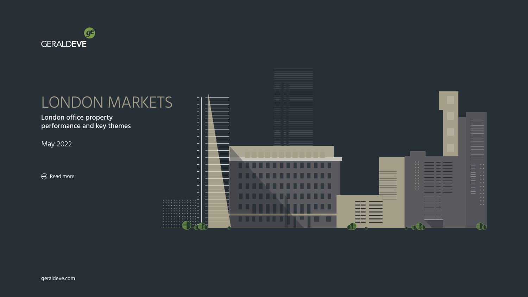[geraldeve.com](http://www.geraldeve.com/)

May 2022

 $\Theta$  Read more





# LONDON MARKETS

### London office property performance and key themes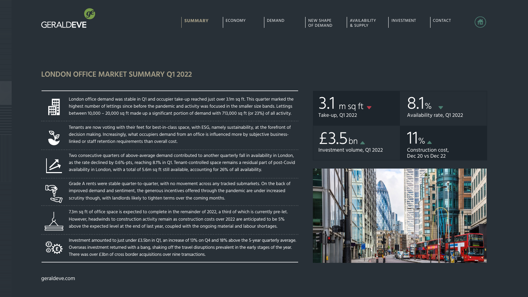8.1% Availability rate, Q1 2022

[geraldeve.com](http://www.geraldeve.com/)

London office demand was stable in Q1 and occupier take-up reached just over 3.1m sq ft. This quarter marked the highest number of lettings since before the pandemic and activity was focused in the smaller size bands. Lettings between 10,000 – 20,000 sq ft made up a significant portion of demand with 713,000 sq ft (or 23%) of all activity.



Tenants are now voting with their feet for best-in-class space, with ESG, namely sustainability, at the forefront of decision making. Increasingly, what occupiers demand from an office is influenced more by subjective businesslinked or staff retention requirements than overall cost.



7.3m sq ft of office space is expected to complete in the remainder of 2022, a third of which is currently pre-let. However, headwinds to construction activity remain as construction costs over 2022 are anticipated to be 5% above the expected level at the end of last year, coupled with the ongoing material and labour shortages.



Two consecutive quarters of above-average demand contributed to another quarterly fall in availability in London, as the rate declined by 0.6%-pts, reaching 8.1% in Q1. Tenant-controlled space remains a residual part of post-Covid availability in London, with a total of 5.6m sq ft still available, accounting for 26% of all availability.



 $11$ % $\triangle$ Construction cost, Dec 20 vs Dec 22

Investment volume, Q1 2022  $£3.5$ bn



Grade A rents were stable quarter-to-quarter, with no movement across any tracked submarkets. On the back of improved demand and sentiment, the generous incentives offered through the pandemic are under increased scrutiny though, with landlords likely to tighten terms over the coming months.



Investment amounted to just under £3.5bn in Q1, an increase of 13% on Q4 and 18% above the 5-year quarterly average. Overseas investment returned with a bang, shaking off the travel disruptions prevalent in the early stages of the year. There was over £3bn of cross border acquisitions over nine transactions.

3.1 Take-up, Q1 2022 m sq ft



### **LONDON OFFICE MARKET SUMMARY Q1 2022**

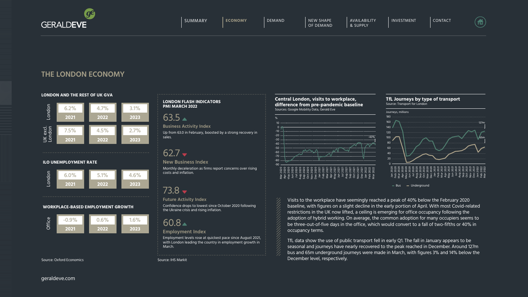### **LONDON AND THE REST OF UK GVA**

#### **ILO UNEMPLOYMENT RATE**







#### **LONDON FLASH INDICATORS PMI MARCH 2022**

 $63.5 \triangle$ 

Source: IHS Markit

TfL data show the use of public transport fell in early Q1. The fall in January appears to be seasonal and journeys have nearly recovered to the peak reached in December. Around 127m bus and 65m underground journeys were made in March, with figures 3% and 14% below the Source: Oxford Economics **Source: Example 2018** Source: IHS Markit **Conserverse Example 2018** December level, respectively.

Visits to the workplace have seemingly reached a peak of 40% below the February 2020 baseline, with figures on a slight decline in the early portion of April. With most Covid-related restrictions in the UK now lifted, a ceiling is emerging for office occupancy following the adoption of hybrid working. On average, the common adoption for many occupiers seems to be three-out-of-five days in the office, which would convert to a fall of two-fifths or 40% in occupancy terms.

 $B = B$ us  $B = B$ Underground

[geraldeve.com](http://www.geraldeve.com/)





### **THE LONDON ECONOMY**

Up from 63.0 in February, boosted by a strong recovery in sales.

# $62.7 -$

#### **Business Activity Index**

 $\left( \begin{matrix} \begin{matrix} 1 \\ 1 \end{matrix} \end{matrix} \right)$ 

Confidence drops to lowest since October 2020 following the Ukraine crisis and rising inflation.

### **Future Activity Index**

Employment levels rose at quickest pace since August 2021, with London leading the country in employment growth in March.

## 60.8

### **Employment Index**

Monthly deceleration as firms report concerns over rising costs and inflation.

## $73.8 -$

### **New Business Index**

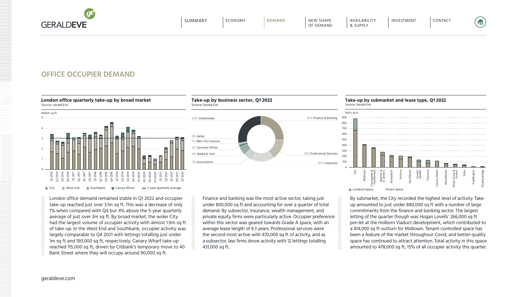[geraldeve.com](http://www.geraldeve.com/)

London office demand remained stable in Q1 2022 and occupier take-up reached just over 3.1m sq ft. This was a decrease of only 1% when compared with Q4 but 4% above the 5-year quarterly average of just over 3m sq ft. By broad market, the wider City had the largest volume of occupier activity with almost 1.9m sq ft of take-up. In the West End and Southbank, occupier activity was largely comparable to Q4 2021 with lettings totalling just under 1m sq ft and 190,000 sq ft, respectively. Canary Wharf take-up reached 115,000 sq ft, driven by Citibank's temporary move to 40  $\quad$   $\quad$   $\quad$  431,000 sq ft. Bank Street where they will occupy around 90,000 sq ft.

### **OFFICE OCCUPIER DEMAND**



### **London office quarterly take-up by broad market**

Source: Gerald Eve

Finance and banking was the most active sector, taking just under 800,000 sq ft and accounting for over a quarter of total demand. By subsector, insurance, wealth management, and private equity firms were particularly active. Occupier preference within this sector was geared towards Grade A space, with an average lease length of 9.3 years. Professional services were the second most active with 470,000 sq ft of activity, and as a subsector, law firms drove activity with 12 lettings totalling



By submarket, the City recorded the highest level of activity. Takeup amounted to just under 880,000 sq ft with a number of large commitments from the finance and banking sector. The largest letting of the quarter though was Hogan Lovells' 266,000 sq ft pre-let at the Holborn Viaduct development, which contributed to a 414,000 sq ft outturn for Midtown. Tenant-controlled space has been a feature of the market throughout Covid, and better-quality space has continued to attract attention. Total activity in this space amounted to 478,000 sq ft, 15% of all occupier activity this quarter.

**Take-up by business sector, Q1 2022** Source: Gerald Eve

#### **Take-up by submarket and lease type, Q1 2022** Source: Gerald Eve

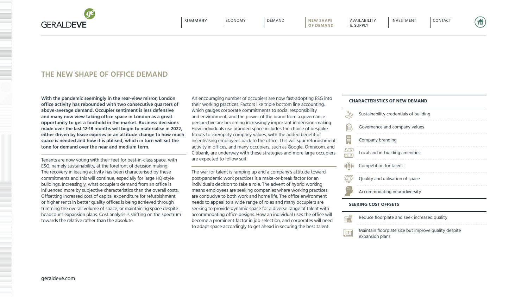**GERALDEVE** 

### **THE NEW SHAPE OF OFFICE DEMAND**

**With the pandemic seemingly in the rear-view mirror, London office activity has rebounded with two consecutive quarters of above-average demand. Occupier sentiment is less defensive and many now view taking office space in London as a great opportunity to get a foothold in the market. Business decisions made over the last 12-18 months will begin to materialise in 2022, either driven by lease expiries or an attitude change to how much space is needed and how it is utilised, which in turn will set the tone for demand over the near and medium term.** 

Tenants are now voting with their feet for best-in-class space, with ESG, namely sustainability, at the forefront of decision making. The recovery in leasing activity has been characterised by these commitments and this will continue, especially for large HQ-style buildings. Increasingly, what occupiers demand from an office is influenced more by subjective characteristics than the overall costs. Offsetting increased cost of capital expenditure for refurbishment or higher rents in better quality offices is being achieved through trimming the overall volume of space, or maintaining space despite headcount expansion plans. Cost analysis is shifting on the spectrum towards the relative rather than the absolute.

An encouraging number of occupiers are now fast-adopting ESG into their working practices. Factors like triple bottom line accounting, which gauges corporate commitments to social responsibility and environment, and the power of the brand from a governance perspective are becoming increasingly important in decision-making. How individuals use branded space includes the choice of bespoke fitouts to exemplify company values, with the added benefit of incentivising employees back to the office. This will spur refurbishment activity in offices, and many occupiers, such as Google, Omnicom, and Citibank, are underway with these strategies and more large occupiers are expected to follow suit.

The war for talent is ramping up and a company's attitude toward post-pandemic work practices is a make-or-break factor for an individual's decision to take a role. The advent of hybrid working means employees are seeking companies where working practices are conducive to both work and home life. The office environment needs to appeal to a wide range of roles and many occupiers are seeking to provide dynamic space for a diverse range of talent with accommodating office designs. How an individual uses the office will become a prominent factor in job selection, and corporates will need to adapt space accordingly to get ahead in securing the best talent.

### **CHARACTERISTICS OF NEW DEMAND**

| Sustainability credentials of building |
|----------------------------------------|
| Governance and company values          |
| Company branding                       |
| Local and in-building amenities        |
| Competition for talent                 |
| Quality and utilisation of space       |
| Accommodating neurodiversity           |

### **SEEKING COST OFFSETS**

| <b>全党</b> | Reduce floorplate and seek increased quality                            |
|-----------|-------------------------------------------------------------------------|
| 風         | Maintain floorplate size but improve quality despite<br>expansion plans |

估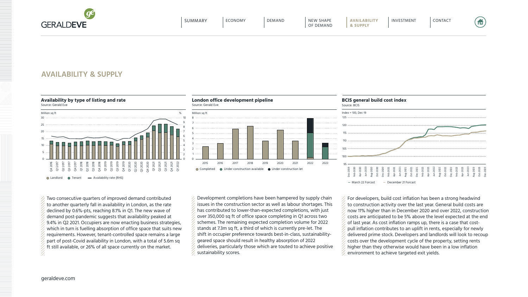[geraldeve.com](http://www.geraldeve.com/)

## **AVAILABILITY & SUPPLY**

### **London office development pipeline**

Source: Gerald Eve

Development completions have been hampered by supply chain issues in the construction sector as well as labour shortages. This has contributed to lower-than-expected completions, with just over 350,000 sq ft of office space completing in Q1 across two schemes. The remaining expected completion volume for 2022 stands at 7.3m sq ft, a third of which is currently pre-let. The shift in occupier preference towards best-in-class, sustainabilitygeared space should result in healthy absorption of 2022 deliveries, particularly those which are touted to achieve positive  $\frac{1}{2}$  sustainability scores.

### **Availability by type of listing and rate**

Source: Gerald Eve



Two consecutive quarters of improved demand contributed to another quarterly fall in availability in London, as the rate declined by 0.6%-pts, reaching 8.1% in Q1. The new wave of demand post-pandemic suggests that availability peaked at 9.4% in Q2 2021. Occupiers are now enacting business strategies, which in turn is fuelling absorption of office space that suits new requirements. However, tenant-controlled space remains a large part of post-Covid availability in London, with a total of 5.6m sq It still available, or 26% of all space currently on the market.

For developers, build cost inflation has been a strong headwind to construction activity over the last year. General build costs are now 11% higher than in December 2020 and over 2022, construction costs are anticipated to be 5% above the level expected at the end of last year. As cost inflation ramps up, there is a case that costpull inflation contributes to an uplift in rents, especially for newly delivered prime stock. Developers and landlords will look to recoup costs over the development cycle of the property, setting rents higher than they otherwise would have been in a low inflation  $\mathcal{C}_{\mathcal{A}}$  environment to achieve targeted exit yields.





### **BCIS general build cost index**

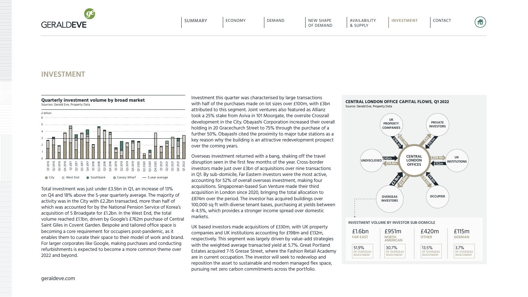### **INVESTMENT**

[geraldeve.com](http://www.geraldeve.com/)

Total investment was just under £3.5bn in Q1, an increase of 13% on Q4 and 18% above the 5-year quarterly average. The majority of activity was in the City with £2.2bn transacted, more than half of which was accounted for by the National Pension Service of Korea's acquisition of 5 Broadgate for £1.2bn. In the West End, the total volume reached £1.1bn, driven by Google's £762m purchase of Central Saint Giles in Covent Garden. Bespoke and tailored office space is becoming a core requirement for occupiers post-pandemic, as it enables them to curate their space to their model of work and brand. For larger corporates like Google, making purchases and conducting refurbishments is expected to become a more common theme over 2022 and beyond.





#### **Quarterly investment volume by broad market**

Sources: Gerald Eve, Property Data

合

Investment this quarter was characterised by large transactions with half of the purchases made on lot sizes over £100m, with £3bn attributed to this segment. Joint ventures also featured as Allianz took a 25% stake from Aviva in 101 Moorgate, the oversite Crossrail development in the City. Obayashi Corporation increased their overall holding in 20 Gracechurch Street to 75% through the purchase of a further 50%. Obayashi cited the proximity to major tube stations as a key reason why the building is an attractive redevelopment prospect over the coming years.

Overseas investment returned with a bang, shaking off the travel disruption seen in the first few months of the year. Cross-border investors made just over £3bn of acquisitions over nine transactions in Q1. By sub-domicile, Far Eastern investors were the most active, accounting for 52% of overall overseas investment, making four acquisitions. Singaporean-based Sun Venture made their third acquisition in London since 2020, bringing the total allocation to £874m over the period. The investor has acquired buildings over 100,000 sq ft with diverse tenant bases, purchasing at yields between 4-4.5%, which provides a stronger income spread over domestic markets.

UK based investors made acquisitions of £330m, with UK property companies and UK institutions accounting for £198m and £132m, respectively. This segment was largely driven by value-add strategies with the weighted average transacted yield at 5.7%. Great Portland Estates acquired 7-15 Gresse Street, where the Fashion Retail Academy are in current occupation. The investor will seek to redevelop and reposition the asset to sustainable and modern managed flex space, pursuing net zero carbon commitments across the portfolio.